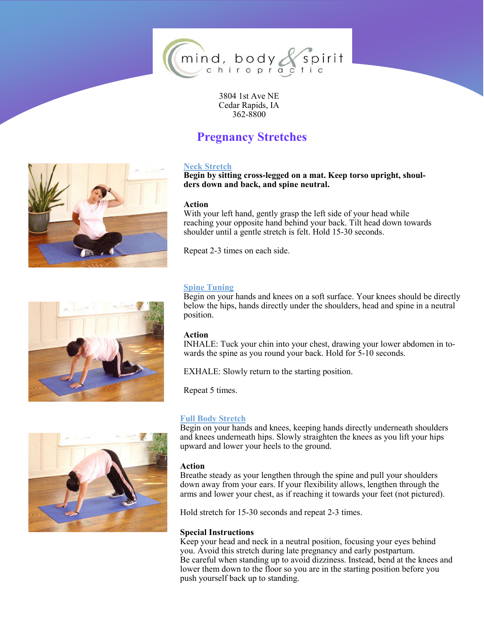

3804 1st Ave NE Cedar Rapids, IA 362-8800

# **Pregnancy Stretches**



**Begin by sitting cross-legged on a mat. Keep torso upright, shoulders down and back, and spine neutral.**

## **Action**

With your left hand, gently grasp the left side of your head while reaching your opposite hand behind your back. Tilt head down towards shoulder until a gentle stretch is felt. Hold 15-30 seconds.

Repeat 2-3 times on each side.

# **Spine Tuning**

Begin on your hands and knees on a soft surface. Your knees should be directly below the hips, hands directly under the shoulders, head and spine in a neutral position.

# **Action**

INHALE: Tuck your chin into your chest, drawing your lower abdomen in towards the spine as you round your back. Hold for 5-10 seconds.

EXHALE: Slowly return to the starting position.

Repeat 5 times.

# **Full Body Stretch**

Begin on your hands and knees, keeping hands directly underneath shoulders and knees underneath hips. Slowly straighten the knees as you lift your hips upward and lower your heels to the ground.

## **Action**

Breathe steady as your lengthen through the spine and pull your shoulders down away from your ears. If your flexibility allows, lengthen through the arms and lower your chest, as if reaching it towards your feet (not pictured).

Hold stretch for 15-30 seconds and repeat 2-3 times.

## **Special Instructions**

Keep your head and neck in a neutral position, focusing your eyes behind you. Avoid this stretch during late pregnancy and early postpartum. Be careful when standing up to avoid dizziness. Instead, bend at the knees and lower them down to the floor so you are in the starting position before you push yourself back up to standing.